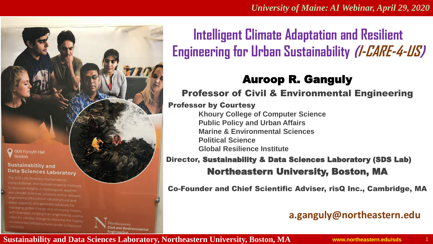

# **Intelligent Climate Adaptation and Resilient Engineering for Urban Sustainability (I-CARE-4-US)**

## Auroop R. Ganguly

#### Professor of Civil & Environmental Engineering

#### Professor by Courtesy

**Khoury College of Computer Science Public Policy and Urban Affairs Marine & Environmental Sciences Political Science Global Resilience Institute**

#### Director, Sustainability & Data Sciences Laboratory (SDS Lab) Northeastern University, Boston, MA

Co-Founder and Chief Scientific Adviser, risQ Inc., Cambridge, MA

## **a.ganguly@northeastern.edu**

#### **Sustainability and Data Sciences Laboratory, Northeastern University, Boston, MA**

vil and Environmental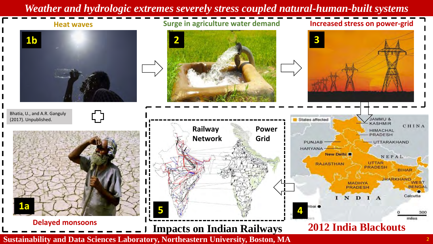## *Weather and hydrologic extremes severely stress coupled natural-human-built systems*



ל ¢

**Heat waves Surge in agriculture water demand Increased stress on power-grid**





Bhatia, U., and A.R. Ganguly (2017). Unpublished.



**Delayed monsoons**



**Sustainability and Data Sciences Laboratory, Northeastern University, Boston, MA**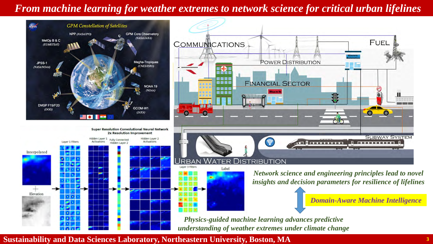## *From machine learning for weather extremes to network science for critical urban lifelines*



**Sustainability and Data Sciences Laboratory, Northeastern University, Boston, MA**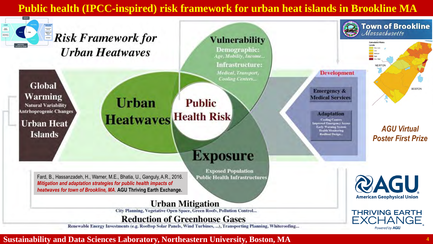## **Public health (IPCC-inspired) risk framework for urban heat islands in Brookline MA**

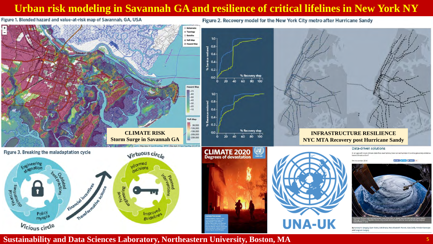### **Urban risk modeling in Savannah GA and resilience of critical lifelines in New York NY**

Figure 2. Recovery model for the New York City metro after Hurricane Sandy

Figure 1. Blended hazard and value-at-risk map of Savannah, GA, USA

**Tepplea** Satellite  $10 -$ Oalt Ray **E** Hazard Map  $0.8 -$ 0.6  $0.4$  $80.2$ % Recovery step 0.0  $80, 100$ **Hazard Map**  $\begin{array}{c} \begin{array}{c} \text{-70} \\ \text{-60} \end{array} \end{array}$ 10 -50  $-40$  $0.8$  $-30$ -20  $0.6$ VaR Map  $0.2$ 50,000 100,000 % Recovery step 150,000 **CLIMATE RISK INFRASTRUCTURE RESILIENCE**  $-200,000$  $80\quad100$ 60  $-250,000$ **Storm Surge in Savannah GA NYC MTA Recovery post Hurricane Sandy**Data-driven solutions **CLIMATE 2020** Figure 3. Breaking the maladaptation cycle Virtuous circle In an age with more climate data than ever before, how can we harness it to drive genuinely evidence ased climate action? Hh Neuamhar 2011 ple Liber # 199 Times | 21 Share & Financial<br>Saindontives Novel pool Financial ince Polici  $lmp$ <sub>c</sub> guidelines myopia **UNA-UK** Vicious circle by Auroop R. Ganguly, Evan Kodra, Udit Bhatla, Mary Elizabeth Warner, Kate Duffy, Arindam Banerje and Sangram Ganguly

**Sustainability and Data Sciences Laboratory, Northeastern University, Boston, MA**